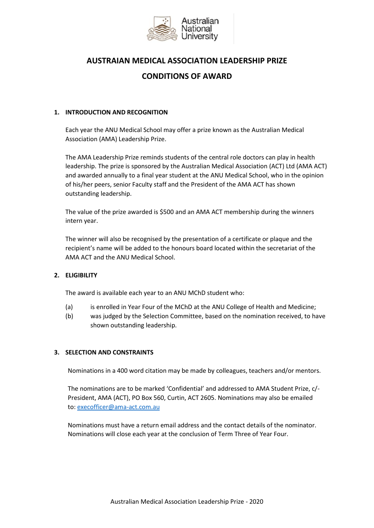

# **AUSTRAIAN MEDICAL ASSOCIATION LEADERSHIP PRIZE CONDITIONS OF AWARD**

## **1. INTRODUCTION AND RECOGNITION**

Each year the ANU Medical School may offer a prize known as the Australian Medical Association (AMA) Leadership Prize.

The AMA Leadership Prize reminds students of the central role doctors can play in health leadership. The prize is sponsored by the Australian Medical Association (ACT) Ltd (AMA ACT) and awarded annually to a final year student at the ANU Medical School, who in the opinion of his/her peers, senior Faculty staff and the President of the AMA ACT has shown outstanding leadership.

The value of the prize awarded is \$500 and an AMA ACT membership during the winners intern year.

The winner will also be recognised by the presentation of a certificate or plaque and the recipient's name will be added to the honours board located within the secretariat of the AMA ACT and the ANU Medical School.

# **2. ELIGIBILITY**

The award is available each year to an ANU MChD student who:

- (a) is enrolled in Year Four of the MChD at the ANU College of Health and Medicine;
- (b) was judged by the Selection Committee, based on the nomination received, to have shown outstanding leadership.

# **3. SELECTION AND CONSTRAINTS**

Nominations in a 400 word citation may be made by colleagues, teachers and/or mentors.

The nominations are to be marked 'Confidential' and addressed to AMA Student Prize, c/- President, AMA (ACT), PO Box 560, Curtin, ACT 2605. Nominations may also be emailed to: [execofficer@ama-act.com.au](mailto:execofficer@ama-act.com.au)

Nominations must have a return email address and the contact details of the nominator. Nominations will close each year at the conclusion of Term Three of Year Four.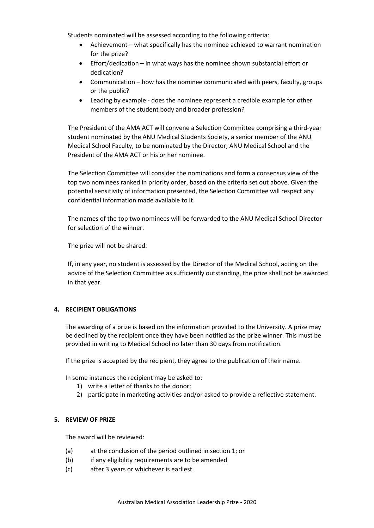Students nominated will be assessed according to the following criteria:

- Achievement what specifically has the nominee achieved to warrant nomination for the prize?
- Effort/dedication in what ways has the nominee shown substantial effort or dedication?
- Communication how has the nominee communicated with peers, faculty, groups or the public?
- Leading by example does the nominee represent a credible example for other members of the student body and broader profession?

The President of the AMA ACT will convene a Selection Committee comprising a third-year student nominated by the ANU Medical Students Society, a senior member of the ANU Medical School Faculty, to be nominated by the Director, ANU Medical School and the President of the AMA ACT or his or her nominee.

The Selection Committee will consider the nominations and form a consensus view of the top two nominees ranked in priority order, based on the criteria set out above. Given the potential sensitivity of information presented, the Selection Committee will respect any confidential information made available to it.

The names of the top two nominees will be forwarded to the ANU Medical School Director for selection of the winner.

The prize will not be shared.

If, in any year, no student is assessed by the Director of the Medical School, acting on the advice of the Selection Committee as sufficiently outstanding, the prize shall not be awarded in that year.

# **4. RECIPIENT OBLIGATIONS**

The awarding of a prize is based on the information provided to the University. A prize may be declined by the recipient once they have been notified as the prize winner. This must be provided in writing to Medical School no later than 30 days from notification.

If the prize is accepted by the recipient, they agree to the publication of their name.

In some instances the recipient may be asked to:

- 1) write a letter of thanks to the donor;
- 2) participate in marketing activities and/or asked to provide a reflective statement.

### **5. REVIEW OF PRIZE**

The award will be reviewed:

- (a) at the conclusion of the period outlined in section 1; or
- (b) if any eligibility requirements are to be amended
- (c) after 3 years or whichever is earliest.